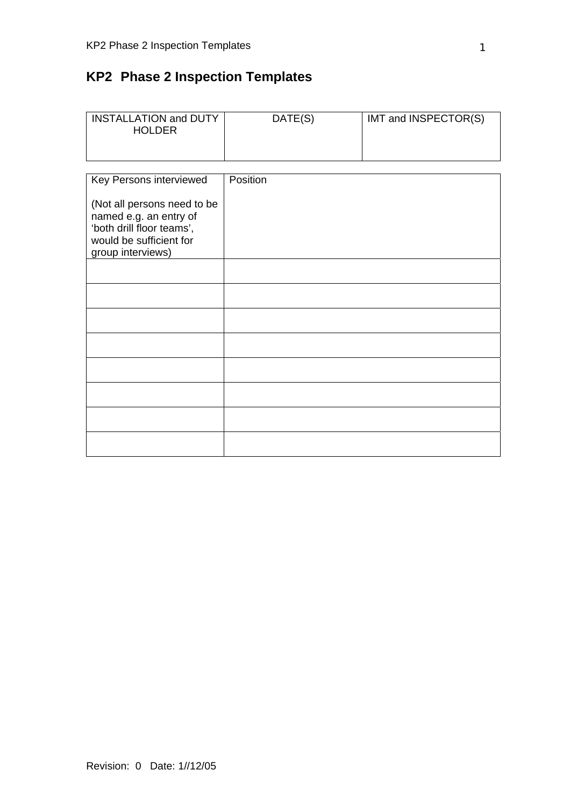# **KP2 Phase 2 Inspection Templates**

| <b>INSTALLATION and DUTY</b><br><b>HOLDER</b>                                                                                      | DATE(S)  | IMT and INSPECTOR(S) |
|------------------------------------------------------------------------------------------------------------------------------------|----------|----------------------|
|                                                                                                                                    |          |                      |
| Key Persons interviewed                                                                                                            | Position |                      |
| (Not all persons need to be<br>named e.g. an entry of<br>'both drill floor teams',<br>would be sufficient for<br>group interviews) |          |                      |
|                                                                                                                                    |          |                      |
|                                                                                                                                    |          |                      |
|                                                                                                                                    |          |                      |
|                                                                                                                                    |          |                      |
|                                                                                                                                    |          |                      |
|                                                                                                                                    |          |                      |
|                                                                                                                                    |          |                      |
|                                                                                                                                    |          |                      |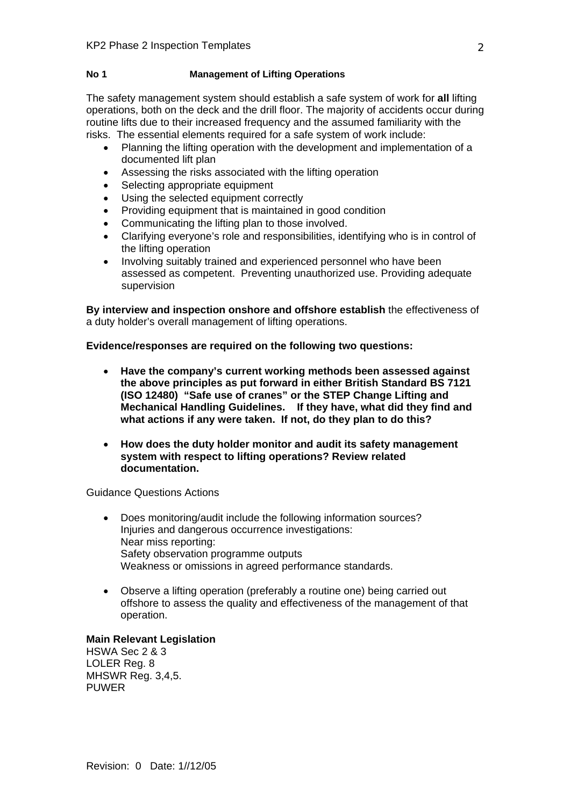### **No 1 Management of Lifting Operations**

The safety management system should establish a safe system of work for **all** lifting operations, both on the deck and the drill floor. The majority of accidents occur during routine lifts due to their increased frequency and the assumed familiarity with the risks. The essential elements required for a safe system of work include:

- Planning the lifting operation with the development and implementation of a documented lift plan
- Assessing the risks associated with the lifting operation
- Selecting appropriate equipment
- Using the selected equipment correctly
- Providing equipment that is maintained in good condition
- Communicating the lifting plan to those involved.
- Clarifying everyone's role and responsibilities, identifying who is in control of the lifting operation
- Involving suitably trained and experienced personnel who have been assessed as competent. Preventing unauthorized use. Providing adequate supervision

**By interview and inspection onshore and offshore establish** the effectiveness of a duty holder's overall management of lifting operations.

**Evidence/responses are required on the following two questions:** 

- **Have the company's current working methods been assessed against the above principles as put forward in either British Standard BS 7121 (ISO 12480) "Safe use of cranes" or the STEP Change Lifting and Mechanical Handling Guidelines. If they have, what did they find and what actions if any were taken. If not, do they plan to do this?**
- **How does the duty holder monitor and audit its safety management system with respect to lifting operations? Review related documentation.**

Guidance Questions Actions

- Does monitoring/audit include the following information sources? Injuries and dangerous occurrence investigations: Near miss reporting: Safety observation programme outputs Weakness or omissions in agreed performance standards.
- Observe a lifting operation (preferably a routine one) being carried out offshore to assess the quality and effectiveness of the management of that operation.

### **Main Relevant Legislation**

HSWA Sec 2 & 3 LOLER Reg. 8 MHSWR Reg. 3,4,5. PUWER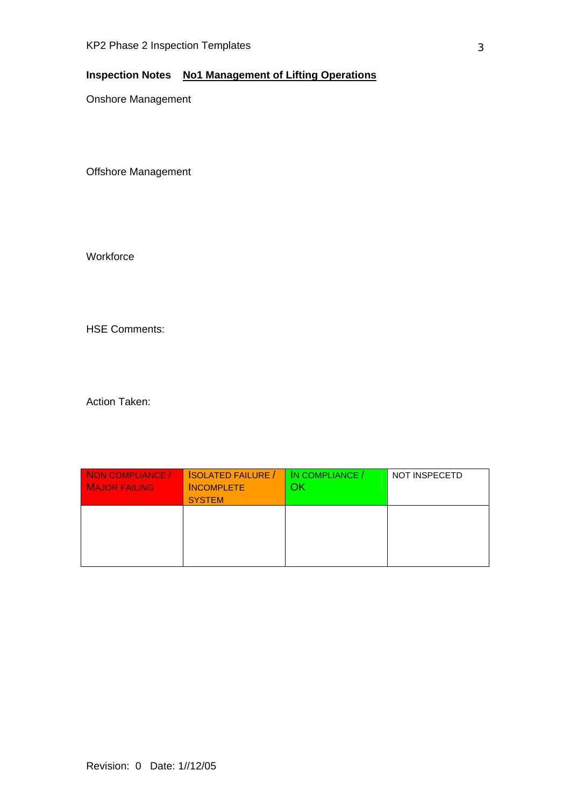## **Inspection Notes No1 Management of Lifting Operations**

Onshore Management

Offshore Management

**Workforce** 

HSE Comments:

| NON COMPLIANCE /<br><b>MAJOR FAILING</b> | <b>SOLATED FAILURE</b> /<br><b>INCOMPLETE</b><br><b>SYSTEM</b> | IN COMPLIANCE /<br>วk | <b>NOT INSPECETD</b> |
|------------------------------------------|----------------------------------------------------------------|-----------------------|----------------------|
|                                          |                                                                |                       |                      |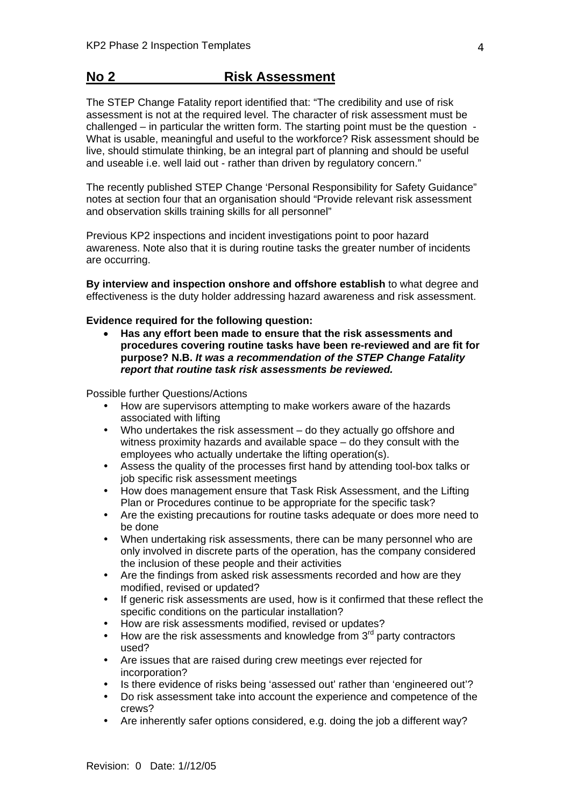# **No 2 Risk Assessment**

The STEP Change Fatality report identified that: "The credibility and use of risk assessment is not at the required level. The character of risk assessment must be challenged – in particular the written form. The starting point must be the question - What is usable, meaningful and useful to the workforce? Risk assessment should be live, should stimulate thinking, be an integral part of planning and should be useful and useable i.e. well laid out - rather than driven by regulatory concern."

The recently published STEP Change 'Personal Responsibility for Safety Guidance" notes at section four that an organisation should "Provide relevant risk assessment and observation skills training skills for all personnel"

Previous KP2 inspections and incident investigations point to poor hazard awareness. Note also that it is during routine tasks the greater number of incidents are occurring.

**By interview and inspection onshore and offshore establish** to what degree and effectiveness is the duty holder addressing hazard awareness and risk assessment.

**Evidence required for the following question:** 

• **Has any effort been made to ensure that the risk assessments and procedures covering routine tasks have been re-reviewed and are fit for purpose? N.B.** *It was a recommendation of the STEP Change Fatality report that routine task risk assessments be reviewed.* 

Possible further Questions/Actions

- How are supervisors attempting to make workers aware of the hazards associated with lifting
- Who undertakes the risk assessment do they actually go offshore and witness proximity hazards and available space – do they consult with the employees who actually undertake the lifting operation(s).
- Assess the quality of the processes first hand by attending tool-box talks or job specific risk assessment meetings
- How does management ensure that Task Risk Assessment, and the Lifting Plan or Procedures continue to be appropriate for the specific task?
- Are the existing precautions for routine tasks adequate or does more need to be done
- When undertaking risk assessments, there can be many personnel who are only involved in discrete parts of the operation, has the company considered the inclusion of these people and their activities
- Are the findings from asked risk assessments recorded and how are they modified, revised or updated?
- If generic risk assessments are used, how is it confirmed that these reflect the specific conditions on the particular installation?
- How are risk assessments modified, revised or updates?
- How are the risk assessments and knowledge from  $3<sup>rd</sup>$  party contractors used?
- Are issues that are raised during crew meetings ever rejected for incorporation?
- Is there evidence of risks being 'assessed out' rather than 'engineered out'?
- Do risk assessment take into account the experience and competence of the crews?
- Are inherently safer options considered, e.g. doing the job a different way?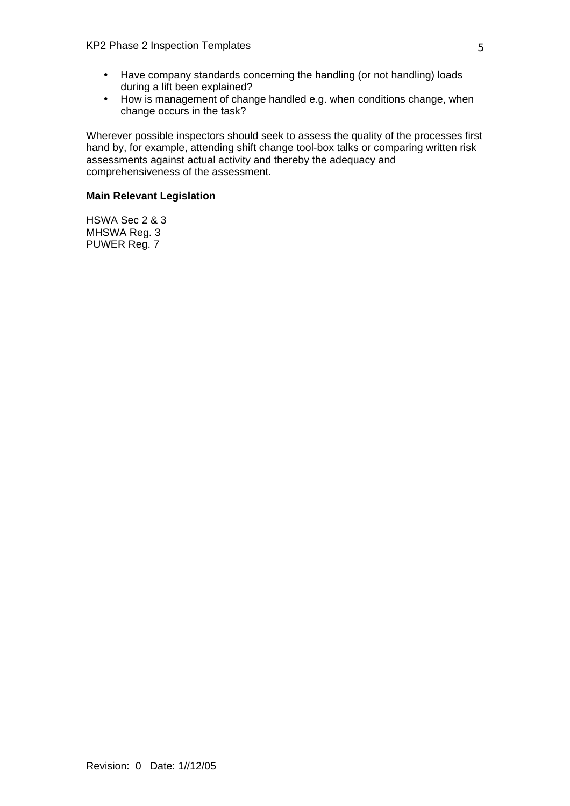- Have company standards concerning the handling (or not handling) loads during a lift been explained?
- How is management of change handled e.g. when conditions change, when change occurs in the task?

Wherever possible inspectors should seek to assess the quality of the processes first hand by, for example, attending shift change tool-box talks or comparing written risk assessments against actual activity and thereby the adequacy and comprehensiveness of the assessment.

### **Main Relevant Legislation**

HSWA Sec 2 & 3 MHSWA Reg. 3 PUWER Reg. 7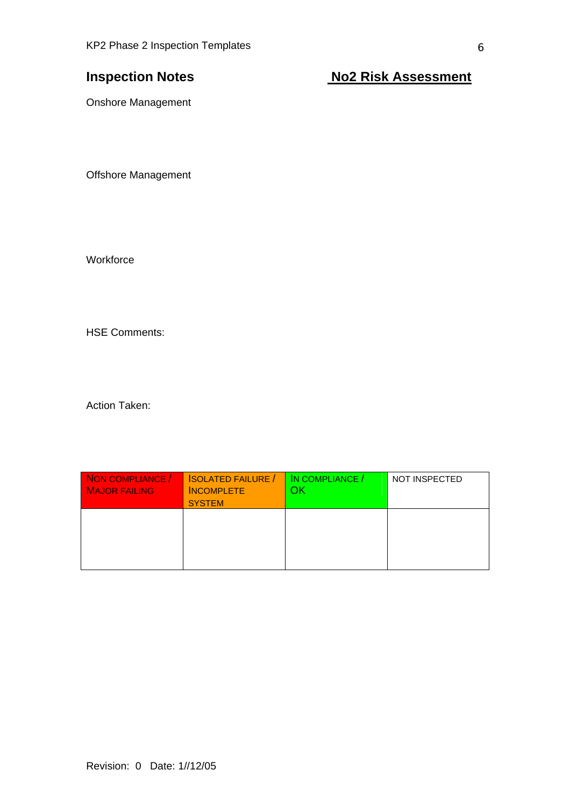**Inspection Notes** Notes No2 Risk Assessment

Onshore Management

Offshore Management

**Workforce** 

HSE Comments:

| NON COMPLIANCE /<br><b>MAJOR FAILING</b> | <b>ISOLATED FAILURE /</b><br><b>INCOMPLETE</b><br><b>SYSTEM</b> | IN COMPLIANCE /<br>ЭK | <b>NOT INSPECTED</b> |
|------------------------------------------|-----------------------------------------------------------------|-----------------------|----------------------|
|                                          |                                                                 |                       |                      |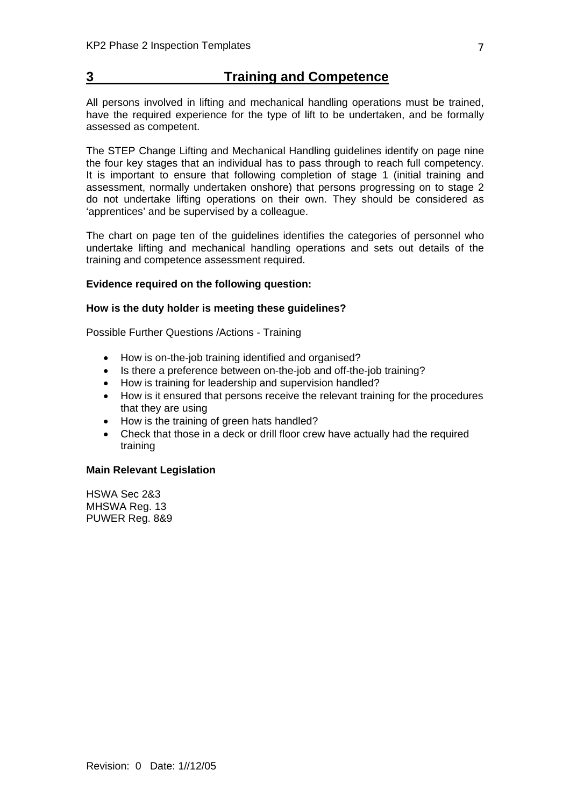## **3 Training and Competence**

All persons involved in lifting and mechanical handling operations must be trained, have the required experience for the type of lift to be undertaken, and be formally assessed as competent.

The STEP Change Lifting and Mechanical Handling guidelines identify on page nine the four key stages that an individual has to pass through to reach full competency. It is important to ensure that following completion of stage 1 (initial training and assessment, normally undertaken onshore) that persons progressing on to stage 2 do not undertake lifting operations on their own. They should be considered as 'apprentices' and be supervised by a colleague.

The chart on page ten of the guidelines identifies the categories of personnel who undertake lifting and mechanical handling operations and sets out details of the training and competence assessment required.

### **Evidence required on the following question:**

### **How is the duty holder is meeting these guidelines?**

Possible Further Questions /Actions - Training

- How is on-the-job training identified and organised?
- Is there a preference between on-the-job and off-the-job training?
- How is training for leadership and supervision handled?
- How is it ensured that persons receive the relevant training for the procedures that they are using
- How is the training of green hats handled?
- Check that those in a deck or drill floor crew have actually had the required training

### **Main Relevant Legislation**

HSWA Sec 2&3 MHSWA Reg. 13 PUWER Reg. 8&9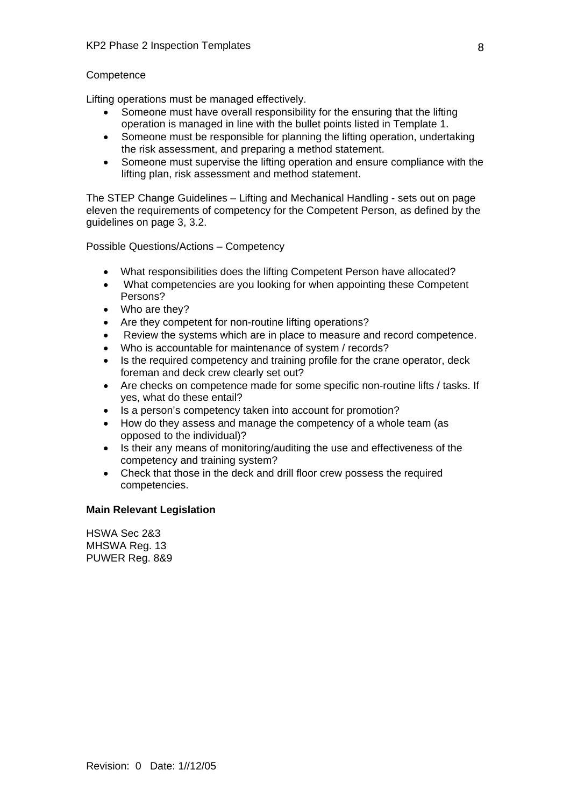### **Competence**

Lifting operations must be managed effectively.

- Someone must have overall responsibility for the ensuring that the lifting operation is managed in line with the bullet points listed in Template 1.
- Someone must be responsible for planning the lifting operation, undertaking the risk assessment, and preparing a method statement.
- Someone must supervise the lifting operation and ensure compliance with the lifting plan, risk assessment and method statement.

The STEP Change Guidelines – Lifting and Mechanical Handling - sets out on page eleven the requirements of competency for the Competent Person, as defined by the guidelines on page 3, 3.2.

Possible Questions/Actions – Competency

- What responsibilities does the lifting Competent Person have allocated?
- What competencies are you looking for when appointing these Competent Persons?
- Who are they?
- Are they competent for non-routine lifting operations?
- Review the systems which are in place to measure and record competence.
- Who is accountable for maintenance of system / records?
- Is the required competency and training profile for the crane operator, deck foreman and deck crew clearly set out?
- Are checks on competence made for some specific non-routine lifts / tasks. If yes, what do these entail?
- Is a person's competency taken into account for promotion?
- How do they assess and manage the competency of a whole team (as opposed to the individual)?
- Is their any means of monitoring/auditing the use and effectiveness of the competency and training system?
- Check that those in the deck and drill floor crew possess the required competencies.

### **Main Relevant Legislation**

HSWA Sec 2&3 MHSWA Reg. 13 PUWER Reg. 8&9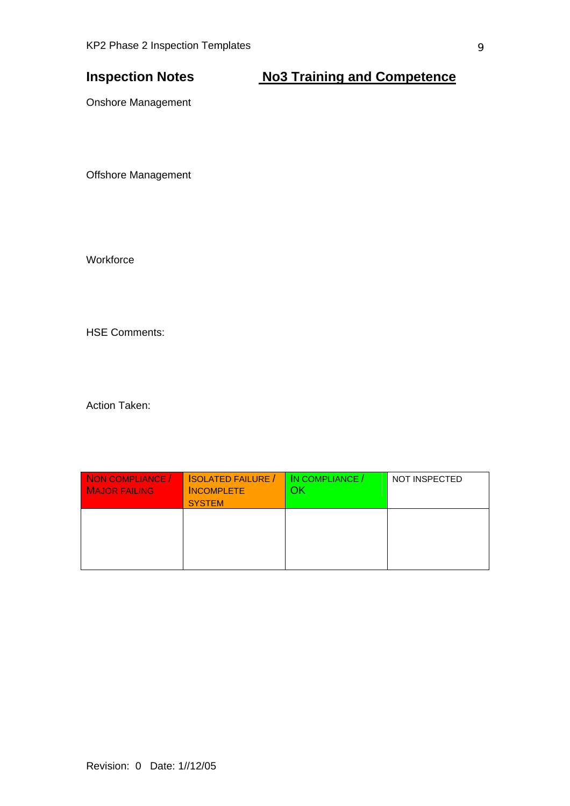# **Inspection Notes Mo3 Training and Competence**

Onshore Management

Offshore Management

**Workforce** 

HSE Comments:

| NON COMPLIANCE /<br><b>MAJOR FAILING</b> | <b>ISOLATED FAILURE /</b><br><b>INCOMPLETE</b><br><b>SYSTEM</b> | IN COMPLIANCE /<br>ΟK | <b>NOT INSPECTED</b> |
|------------------------------------------|-----------------------------------------------------------------|-----------------------|----------------------|
|                                          |                                                                 |                       |                      |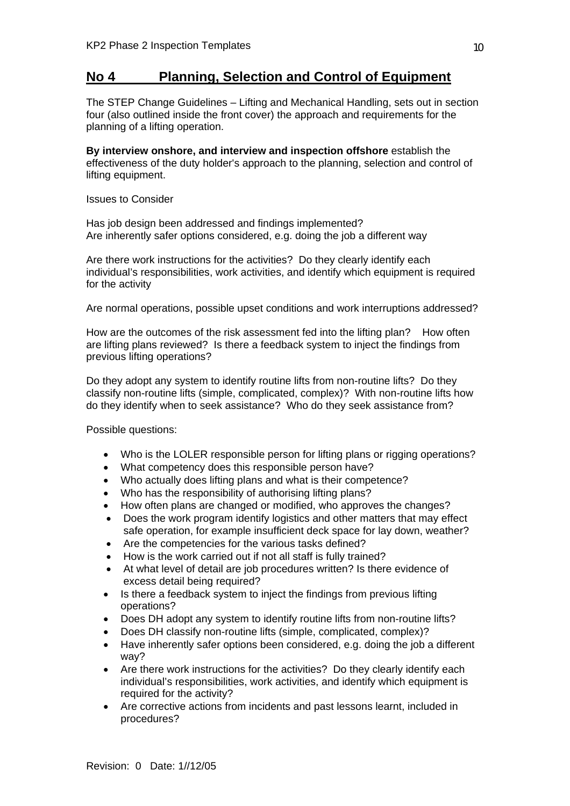## **No 4 Planning, Selection and Control of Equipment**

The STEP Change Guidelines – Lifting and Mechanical Handling, sets out in section four (also outlined inside the front cover) the approach and requirements for the planning of a lifting operation.

**By interview onshore, and interview and inspection offshore** establish the effectiveness of the duty holder's approach to the planning, selection and control of lifting equipment.

Issues to Consider

Has job design been addressed and findings implemented? Are inherently safer options considered, e.g. doing the job a different way

Are there work instructions for the activities? Do they clearly identify each individual's responsibilities, work activities, and identify which equipment is required for the activity

Are normal operations, possible upset conditions and work interruptions addressed?

How are the outcomes of the risk assessment fed into the lifting plan? How often are lifting plans reviewed? Is there a feedback system to inject the findings from previous lifting operations?

Do they adopt any system to identify routine lifts from non-routine lifts? Do they classify non-routine lifts (simple, complicated, complex)? With non-routine lifts how do they identify when to seek assistance? Who do they seek assistance from?

Possible questions:

- Who is the LOLER responsible person for lifting plans or rigging operations?
- What competency does this responsible person have?
- Who actually does lifting plans and what is their competence?
- Who has the responsibility of authorising lifting plans?
- How often plans are changed or modified, who approves the changes?
- Does the work program identify logistics and other matters that may effect safe operation, for example insufficient deck space for lay down, weather?
- Are the competencies for the various tasks defined?
- How is the work carried out if not all staff is fully trained?
- At what level of detail are job procedures written? Is there evidence of excess detail being required?
- Is there a feedback system to inject the findings from previous lifting operations?
- Does DH adopt any system to identify routine lifts from non-routine lifts?
- Does DH classify non-routine lifts (simple, complicated, complex)?
- Have inherently safer options been considered, e.g. doing the job a different way?
- Are there work instructions for the activities? Do they clearly identify each individual's responsibilities, work activities, and identify which equipment is required for the activity?
- Are corrective actions from incidents and past lessons learnt, included in procedures?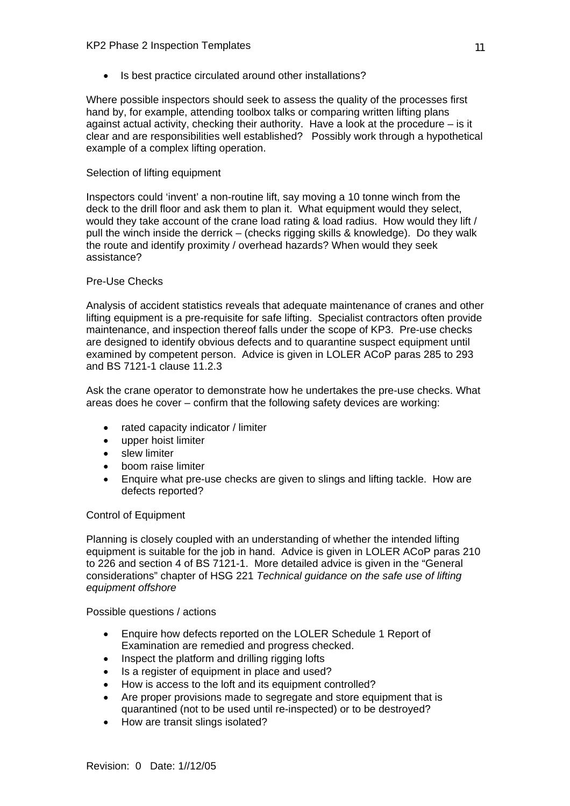Is best practice circulated around other installations?

Where possible inspectors should seek to assess the quality of the processes first hand by, for example, attending toolbox talks or comparing written lifting plans against actual activity, checking their authority. Have a look at the procedure – is it clear and are responsibilities well established? Possibly work through a hypothetical example of a complex lifting operation.

### Selection of lifting equipment

Inspectors could 'invent' a non-routine lift, say moving a 10 tonne winch from the deck to the drill floor and ask them to plan it. What equipment would they select, would they take account of the crane load rating & load radius. How would they lift / pull the winch inside the derrick – (checks rigging skills & knowledge). Do they walk the route and identify proximity / overhead hazards? When would they seek assistance?

### Pre-Use Checks

Analysis of accident statistics reveals that adequate maintenance of cranes and other lifting equipment is a pre-requisite for safe lifting. Specialist contractors often provide maintenance, and inspection thereof falls under the scope of KP3. Pre-use checks are designed to identify obvious defects and to quarantine suspect equipment until examined by competent person. Advice is given in LOLER ACoP paras 285 to 293 and BS 7121-1 clause 11.2.3

Ask the crane operator to demonstrate how he undertakes the pre-use checks. What areas does he cover – confirm that the following safety devices are working:

- rated capacity indicator / limiter
- upper hoist limiter
- slew limiter
- boom raise limiter
- Enquire what pre-use checks are given to slings and lifting tackle. How are defects reported?

### Control of Equipment

Planning is closely coupled with an understanding of whether the intended lifting equipment is suitable for the job in hand. Advice is given in LOLER ACoP paras 210 to 226 and section 4 of BS 7121-1. More detailed advice is given in the "General considerations" chapter of HSG 221 *Technical guidance on the safe use of lifting equipment offshore*

### Possible questions / actions

- Enquire how defects reported on the LOLER Schedule 1 Report of Examination are remedied and progress checked.
- Inspect the platform and drilling rigging lofts
- Is a register of equipment in place and used?
- How is access to the loft and its equipment controlled?
- Are proper provisions made to segregate and store equipment that is quarantined (not to be used until re-inspected) or to be destroyed?
- How are transit slings isolated?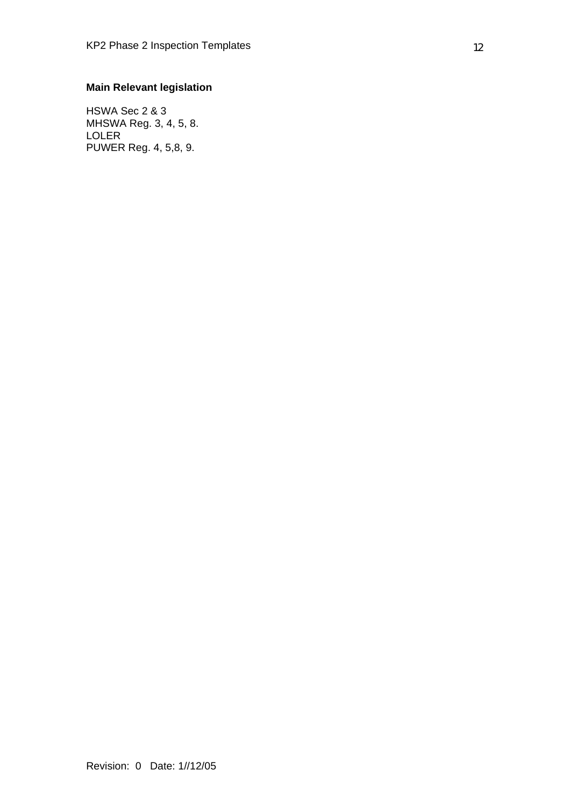### **Main Relevant legislation**

HSWA Sec 2 & 3 MHSWA Reg. 3, 4, 5, 8. LOLER PUWER Reg. 4, 5,8, 9.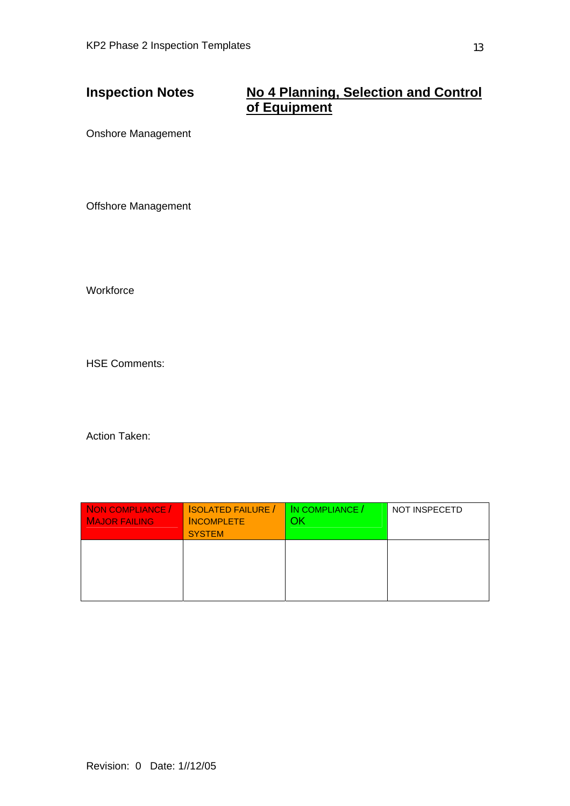# **Inspection Notes No 4 Planning, Selection and Control of Equipment**

Onshore Management

Offshore Management

**Workforce** 

HSE Comments:

| NON COMPLIANCE /<br><b>MAJOR FAILING</b> | <b>SOLATED FAILURE</b> /<br><b>INCOMPLETE</b><br><b>SYSTEM</b> | IN COMPLIANCE /<br>ЭK | <b>NOT INSPECETD</b> |
|------------------------------------------|----------------------------------------------------------------|-----------------------|----------------------|
|                                          |                                                                |                       |                      |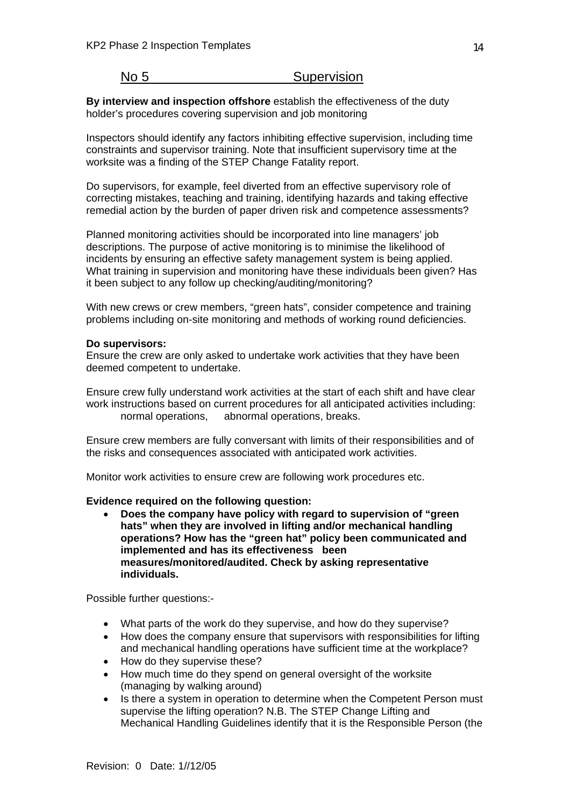### No 5 Supervision

**By interview and inspection offshore** establish the effectiveness of the duty holder's procedures covering supervision and job monitoring

Inspectors should identify any factors inhibiting effective supervision, including time constraints and supervisor training. Note that insufficient supervisory time at the worksite was a finding of the STEP Change Fatality report.

Do supervisors, for example, feel diverted from an effective supervisory role of correcting mistakes, teaching and training, identifying hazards and taking effective remedial action by the burden of paper driven risk and competence assessments?

Planned monitoring activities should be incorporated into line managers' job descriptions. The purpose of active monitoring is to minimise the likelihood of incidents by ensuring an effective safety management system is being applied. What training in supervision and monitoring have these individuals been given? Has it been subject to any follow up checking/auditing/monitoring?

With new crews or crew members, "green hats", consider competence and training problems including on-site monitoring and methods of working round deficiencies.

### **Do supervisors:**

Ensure the crew are only asked to undertake work activities that they have been deemed competent to undertake.

Ensure crew fully understand work activities at the start of each shift and have clear work instructions based on current procedures for all anticipated activities including: normal operations, abnormal operations, breaks.

Ensure crew members are fully conversant with limits of their responsibilities and of the risks and consequences associated with anticipated work activities.

Monitor work activities to ensure crew are following work procedures etc.

### **Evidence required on the following question:**

• **Does the company have policy with regard to supervision of "green hats" when they are involved in lifting and/or mechanical handling operations? How has the "green hat" policy been communicated and implemented and has its effectiveness been measures/monitored/audited. Check by asking representative individuals.**

Possible further questions:-

- What parts of the work do they supervise, and how do they supervise?
- How does the company ensure that supervisors with responsibilities for lifting and mechanical handling operations have sufficient time at the workplace?
- How do they supervise these?
- How much time do they spend on general oversight of the worksite (managing by walking around)
- Is there a system in operation to determine when the Competent Person must supervise the lifting operation? N.B. The STEP Change Lifting and Mechanical Handling Guidelines identify that it is the Responsible Person (the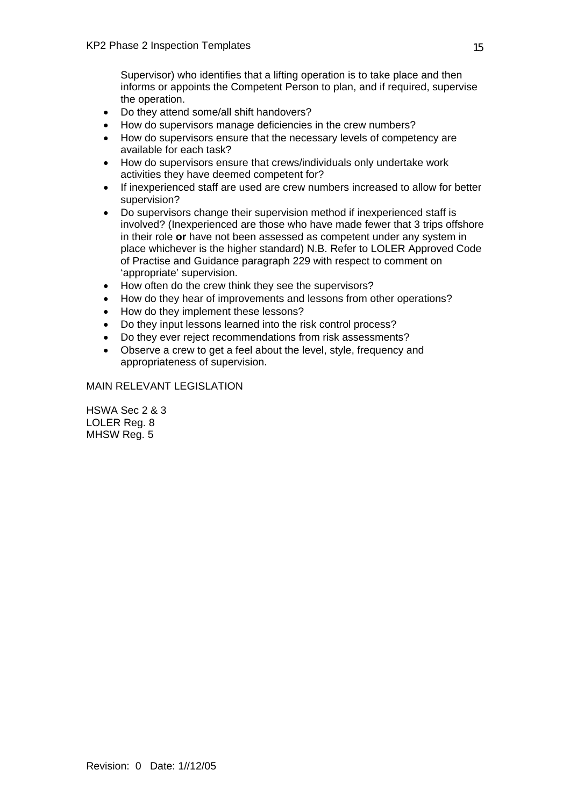Supervisor) who identifies that a lifting operation is to take place and then informs or appoints the Competent Person to plan, and if required, supervise the operation.

- Do they attend some/all shift handovers?
- How do supervisors manage deficiencies in the crew numbers?
- How do supervisors ensure that the necessary levels of competency are available for each task?
- How do supervisors ensure that crews/individuals only undertake work activities they have deemed competent for?
- If inexperienced staff are used are crew numbers increased to allow for better supervision?
- Do supervisors change their supervision method if inexperienced staff is involved? (Inexperienced are those who have made fewer that 3 trips offshore in their role **or** have not been assessed as competent under any system in place whichever is the higher standard) N.B. Refer to LOLER Approved Code of Practise and Guidance paragraph 229 with respect to comment on 'appropriate' supervision.
- How often do the crew think they see the supervisors?
- How do they hear of improvements and lessons from other operations?
- How do they implement these lessons?
- Do they input lessons learned into the risk control process?
- Do they ever reject recommendations from risk assessments?
- Observe a crew to get a feel about the level, style, frequency and appropriateness of supervision.

### MAIN RELEVANT LEGISLATION

HSWA Sec 2 & 3 LOLER Reg. 8 MHSW Reg. 5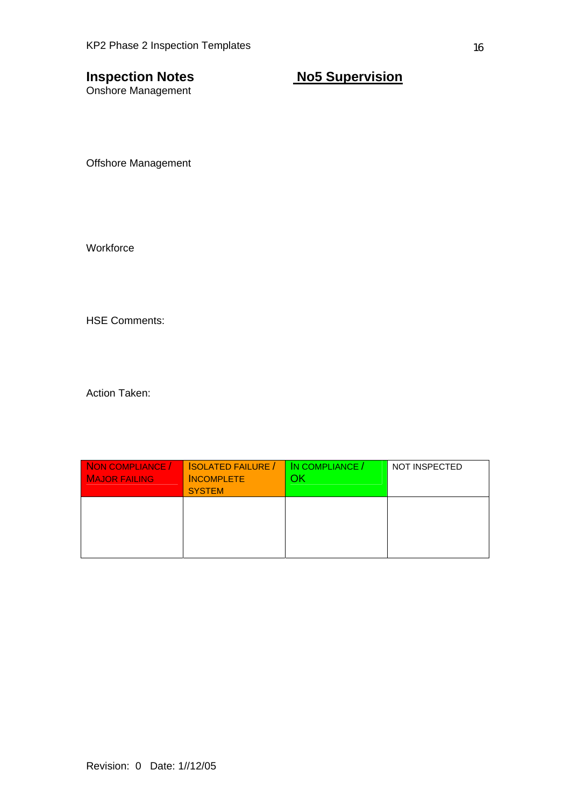Onshore Management

# **Inspection Notes No5 Supervision**

Offshore Management

**Workforce** 

HSE Comments:

| NON COMPLIANCE /<br><b>MAJOR FAILING</b> | <b>ISOLATED FAILURE /</b><br><b>INCOMPLETE</b><br><b>SYSTEM</b> | IN COMPLIANCE /<br>ЭK | <b>NOT INSPECTED</b> |
|------------------------------------------|-----------------------------------------------------------------|-----------------------|----------------------|
|                                          |                                                                 |                       |                      |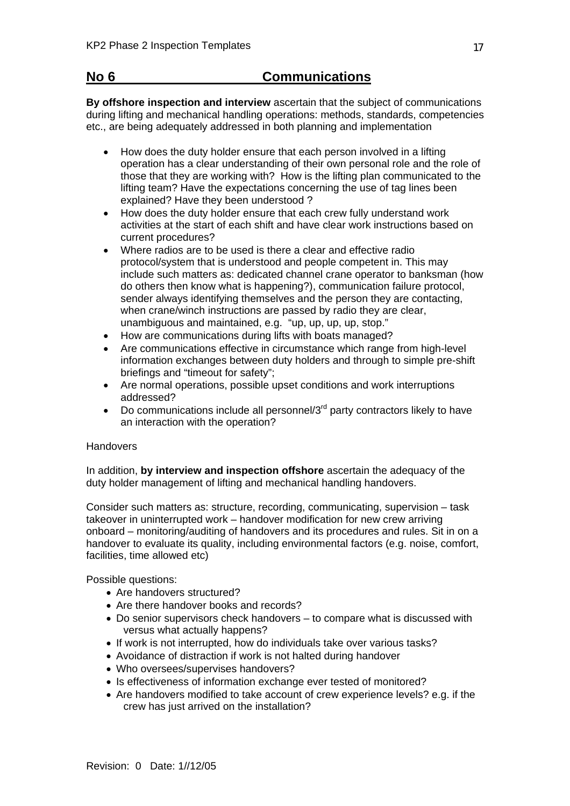# **No 6 Communications**

**By offshore inspection and interview** ascertain that the subject of communications during lifting and mechanical handling operations: methods, standards, competencies etc., are being adequately addressed in both planning and implementation

- How does the duty holder ensure that each person involved in a lifting operation has a clear understanding of their own personal role and the role of those that they are working with? How is the lifting plan communicated to the lifting team? Have the expectations concerning the use of tag lines been explained? Have they been understood ?
- How does the duty holder ensure that each crew fully understand work activities at the start of each shift and have clear work instructions based on current procedures?
- Where radios are to be used is there a clear and effective radio protocol/system that is understood and people competent in. This may include such matters as: dedicated channel crane operator to banksman (how do others then know what is happening?), communication failure protocol, sender always identifying themselves and the person they are contacting, when crane/winch instructions are passed by radio they are clear, unambiguous and maintained, e.g. "up, up, up, up, stop."
- How are communications during lifts with boats managed?
- Are communications effective in circumstance which range from high-level information exchanges between duty holders and through to simple pre-shift briefings and "timeout for safety";
- Are normal operations, possible upset conditions and work interruptions addressed?
- Do communications include all personnel/ $3<sup>rd</sup>$  party contractors likely to have an interaction with the operation?

### **Handovers**

In addition, **by interview and inspection offshore** ascertain the adequacy of the duty holder management of lifting and mechanical handling handovers.

Consider such matters as: structure, recording, communicating, supervision – task takeover in uninterrupted work – handover modification for new crew arriving onboard – monitoring/auditing of handovers and its procedures and rules. Sit in on a handover to evaluate its quality, including environmental factors (e.g. noise, comfort, facilities, time allowed etc)

Possible questions:

- Are handovers structured?
- Are there handover books and records?
- Do senior supervisors check handovers to compare what is discussed with versus what actually happens?
- If work is not interrupted, how do individuals take over various tasks?
- Avoidance of distraction if work is not halted during handover
- Who oversees/supervises handovers?
- Is effectiveness of information exchange ever tested of monitored?
- Are handovers modified to take account of crew experience levels? e.g. if the crew has just arrived on the installation?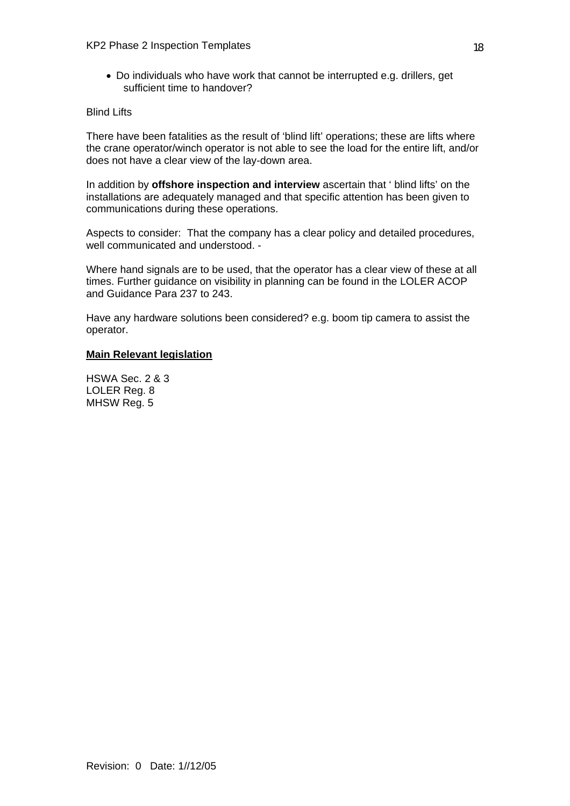• Do individuals who have work that cannot be interrupted e.g. drillers, get sufficient time to handover?

### Blind Lifts

There have been fatalities as the result of 'blind lift' operations; these are lifts where the crane operator/winch operator is not able to see the load for the entire lift, and/or does not have a clear view of the lay-down area.

In addition by **offshore inspection and interview** ascertain that ' blind lifts' on the installations are adequately managed and that specific attention has been given to communications during these operations.

Aspects to consider: That the company has a clear policy and detailed procedures, well communicated and understood. -

Where hand signals are to be used, that the operator has a clear view of these at all times. Further guidance on visibility in planning can be found in the LOLER ACOP and Guidance Para 237 to 243.

Have any hardware solutions been considered? e.g. boom tip camera to assist the operator.

### **Main Relevant legislation**

HSWA Sec. 2 & 3 LOLER Reg. 8 MHSW Reg. 5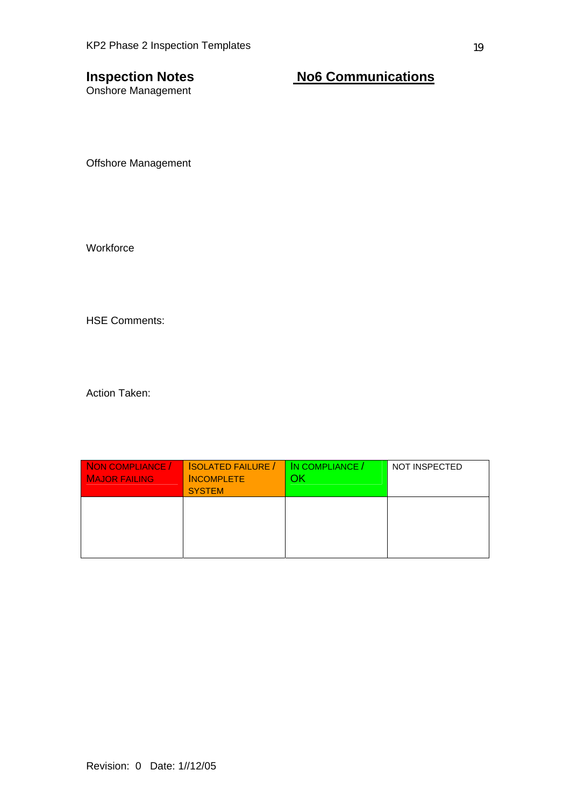Onshore Management

# **Inspection Notes No6 Communications**

Offshore Management

**Workforce** 

HSE Comments:

| NON COMPLIANCE /<br><b>MAJOR FAILING</b> | <b>SOLATED FAILURE</b><br><b>INCOMPLETE</b><br><b>SYSTEM</b> | IN COMPLIANCE /<br>OК | <b>NOT INSPECTED</b> |
|------------------------------------------|--------------------------------------------------------------|-----------------------|----------------------|
|                                          |                                                              |                       |                      |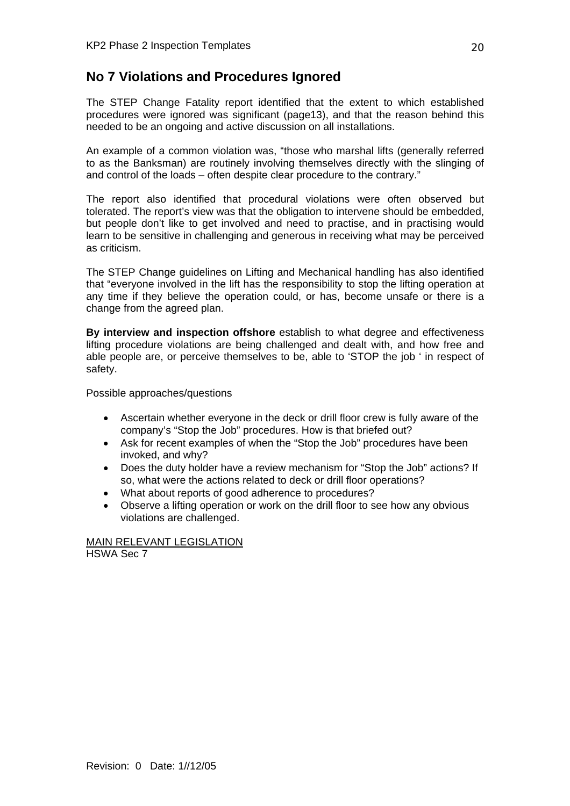# **No 7 Violations and Procedures Ignored**

The STEP Change Fatality report identified that the extent to which established procedures were ignored was significant (page13), and that the reason behind this needed to be an ongoing and active discussion on all installations.

An example of a common violation was, "those who marshal lifts (generally referred to as the Banksman) are routinely involving themselves directly with the slinging of and control of the loads – often despite clear procedure to the contrary."

The report also identified that procedural violations were often observed but tolerated. The report's view was that the obligation to intervene should be embedded, but people don't like to get involved and need to practise, and in practising would learn to be sensitive in challenging and generous in receiving what may be perceived as criticism.

The STEP Change guidelines on Lifting and Mechanical handling has also identified that "everyone involved in the lift has the responsibility to stop the lifting operation at any time if they believe the operation could, or has, become unsafe or there is a change from the agreed plan.

**By interview and inspection offshore** establish to what degree and effectiveness lifting procedure violations are being challenged and dealt with, and how free and able people are, or perceive themselves to be, able to 'STOP the job ' in respect of safety.

Possible approaches/questions

- Ascertain whether everyone in the deck or drill floor crew is fully aware of the company's "Stop the Job" procedures. How is that briefed out?
- Ask for recent examples of when the "Stop the Job" procedures have been invoked, and why?
- Does the duty holder have a review mechanism for "Stop the Job" actions? If so, what were the actions related to deck or drill floor operations?
- What about reports of good adherence to procedures?
- Observe a lifting operation or work on the drill floor to see how any obvious violations are challenged.

MAIN RELEVANT LEGISLATION HSWA Sec 7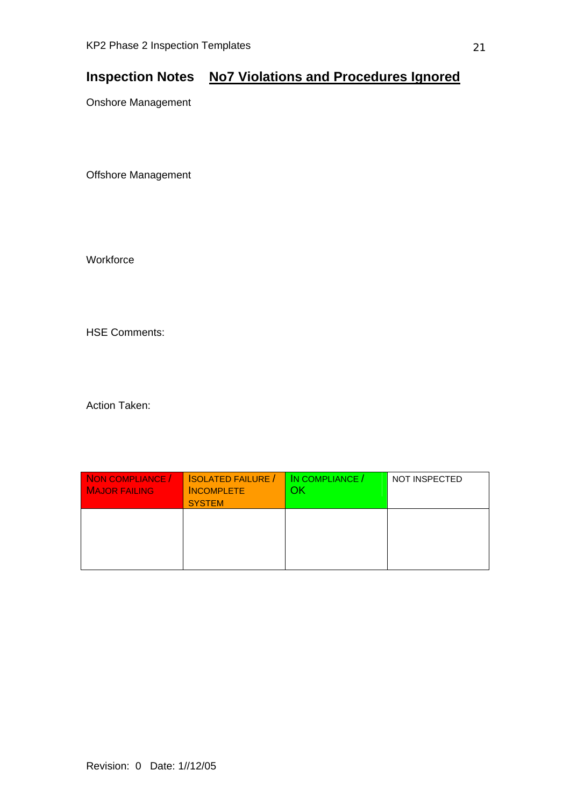# **Inspection Notes No7 Violations and Procedures Ignored**

Onshore Management

Offshore Management

**Workforce** 

HSE Comments:

| NON COMPLIANCE /<br><b>MAJOR FAILING</b> | <b>ISOLATED FAILURE /</b><br><b>INCOMPLETE</b><br><b>SYSTEM</b> | IN COMPLIANCE /<br>ΟK | <b>NOT INSPECTED</b> |
|------------------------------------------|-----------------------------------------------------------------|-----------------------|----------------------|
|                                          |                                                                 |                       |                      |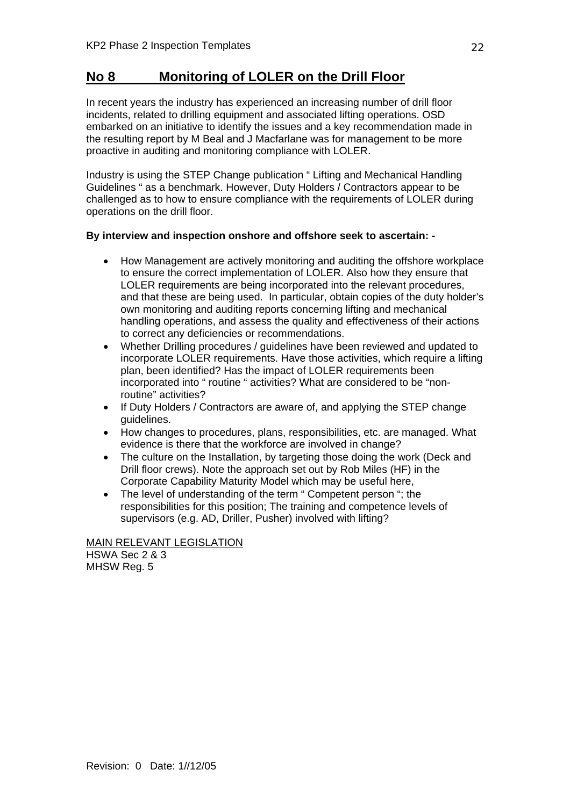# **No 8 Monitoring of LOLER on the Drill Floor**

In recent years the industry has experienced an increasing number of drill floor incidents, related to drilling equipment and associated lifting operations. OSD embarked on an initiative to identify the issues and a key recommendation made in the resulting report by M Beal and J Macfarlane was for management to be more proactive in auditing and monitoring compliance with LOLER.

Industry is using the STEP Change publication " Lifting and Mechanical Handling Guidelines " as a benchmark. However, Duty Holders / Contractors appear to be challenged as to how to ensure compliance with the requirements of LOLER during operations on the drill floor.

### **By interview and inspection onshore and offshore seek to ascertain: -**

- How Management are actively monitoring and auditing the offshore workplace to ensure the correct implementation of LOLER. Also how they ensure that LOLER requirements are being incorporated into the relevant procedures, and that these are being used. In particular, obtain copies of the duty holder's own monitoring and auditing reports concerning lifting and mechanical handling operations, and assess the quality and effectiveness of their actions to correct any deficiencies or recommendations.
- Whether Drilling procedures / guidelines have been reviewed and updated to incorporate LOLER requirements. Have those activities, which require a lifting plan, been identified? Has the impact of LOLER requirements been incorporated into " routine " activities? What are considered to be "nonroutine" activities?
- If Duty Holders / Contractors are aware of, and applying the STEP change guidelines.
- How changes to procedures, plans, responsibilities, etc. are managed. What evidence is there that the workforce are involved in change?
- The culture on the Installation, by targeting those doing the work (Deck and Drill floor crews). Note the approach set out by Rob Miles (HF) in the Corporate Capability Maturity Model which may be useful here,
- The level of understanding of the term " Competent person "; the responsibilities for this position; The training and competence levels of supervisors (e.g. AD, Driller, Pusher) involved with lifting?

MAIN RELEVANT LEGISLATION

HSWA Sec 2 & 3 MHSW Reg. 5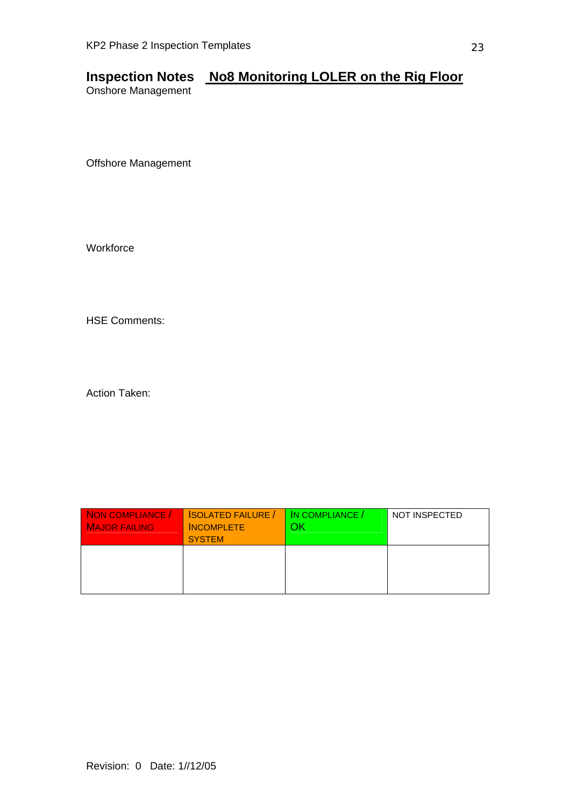# **Inspection Notes No8 Monitoring LOLER on the Rig Floor**

Onshore Management

Offshore Management

**Workforce** 

HSE Comments:

| NON COMPLIANCE /<br><b>MAJOR FAILING</b> | <b>SOLATED FAILURE</b><br><b>INCOMPLETE</b><br><b>SYSTEM</b> | IN COMPLIANCE /<br>ЭK | NOT INSPECTED |
|------------------------------------------|--------------------------------------------------------------|-----------------------|---------------|
|                                          |                                                              |                       |               |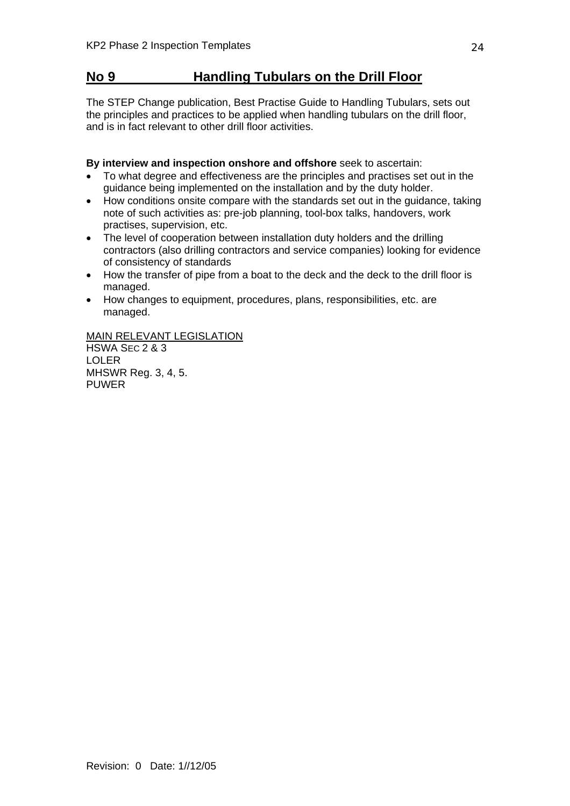# **No 9 Handling Tubulars on the Drill Floor**

The STEP Change publication, Best Practise Guide to Handling Tubulars, sets out the principles and practices to be applied when handling tubulars on the drill floor, and is in fact relevant to other drill floor activities.

**By interview and inspection onshore and offshore** seek to ascertain:

- To what degree and effectiveness are the principles and practises set out in the guidance being implemented on the installation and by the duty holder.
- How conditions onsite compare with the standards set out in the guidance, taking note of such activities as: pre-job planning, tool-box talks, handovers, work practises, supervision, etc.
- The level of cooperation between installation duty holders and the drilling contractors (also drilling contractors and service companies) looking for evidence of consistency of standards
- How the transfer of pipe from a boat to the deck and the deck to the drill floor is managed.
- How changes to equipment, procedures, plans, responsibilities, etc. are managed.

MAIN RELEVANT LEGISLATION

HSWA SEC 2 & 3 LOLER MHSWR Reg. 3, 4, 5. **PUWER**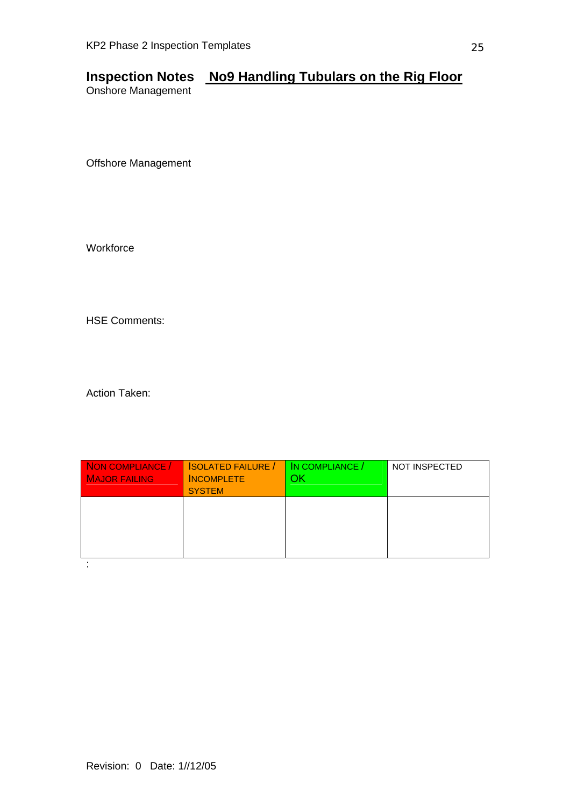# **Inspection Notes No9 Handling Tubulars on the Rig Floor**

Onshore Management

Offshore Management

**Workforce** 

HSE Comments:

| NON COMPLIANCE /<br><b>MAJOR FAILING</b> | <b>SOLATED FAILURE</b><br><b>INCOMPLETE</b><br><b>SYSTEM</b> | IN COMPLIANCE /<br>ΟK | <b>NOT INSPECTED</b> |
|------------------------------------------|--------------------------------------------------------------|-----------------------|----------------------|
|                                          |                                                              |                       |                      |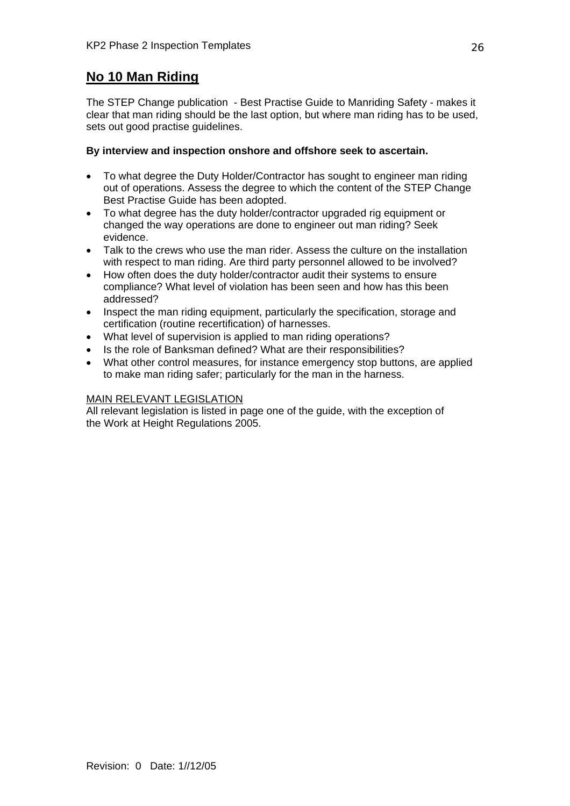# **No 10 Man Riding**

The STEP Change publication - Best Practise Guide to Manriding Safety - makes it clear that man riding should be the last option, but where man riding has to be used, sets out good practise guidelines.

### **By interview and inspection onshore and offshore seek to ascertain.**

- To what degree the Duty Holder/Contractor has sought to engineer man riding out of operations. Assess the degree to which the content of the STEP Change Best Practise Guide has been adopted.
- To what degree has the duty holder/contractor upgraded rig equipment or changed the way operations are done to engineer out man riding? Seek evidence.
- Talk to the crews who use the man rider. Assess the culture on the installation with respect to man riding. Are third party personnel allowed to be involved?
- How often does the duty holder/contractor audit their systems to ensure compliance? What level of violation has been seen and how has this been addressed?
- Inspect the man riding equipment, particularly the specification, storage and certification (routine recertification) of harnesses.
- What level of supervision is applied to man riding operations?
- Is the role of Banksman defined? What are their responsibilities?
- What other control measures, for instance emergency stop buttons, are applied to make man riding safer; particularly for the man in the harness.

### MAIN RELEVANT LEGISLATION

All relevant legislation is listed in page one of the guide, with the exception of the Work at Height Regulations 2005.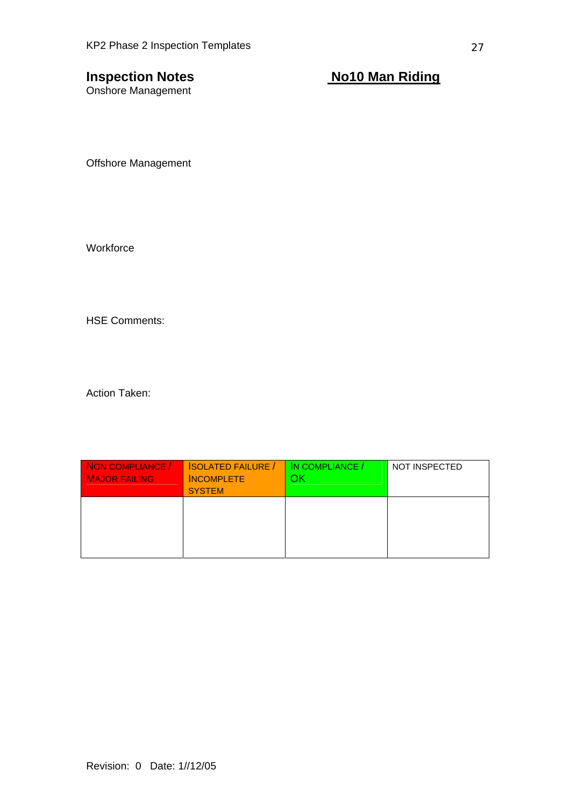Onshore Management

**Inspection Notes** Notes Notes Notes Notes

Offshore Management

**Workforce** 

HSE Comments:

| NON COMPLIANCE /<br><b>MAJOR FAILING</b> | <b>SOLATED FAILURE</b><br><b>INCOMPLETE</b><br><b>SYSTEM</b> | IN COMPLIANCE /<br>ЭK | <b>NOT INSPECTED</b> |
|------------------------------------------|--------------------------------------------------------------|-----------------------|----------------------|
|                                          |                                                              |                       |                      |